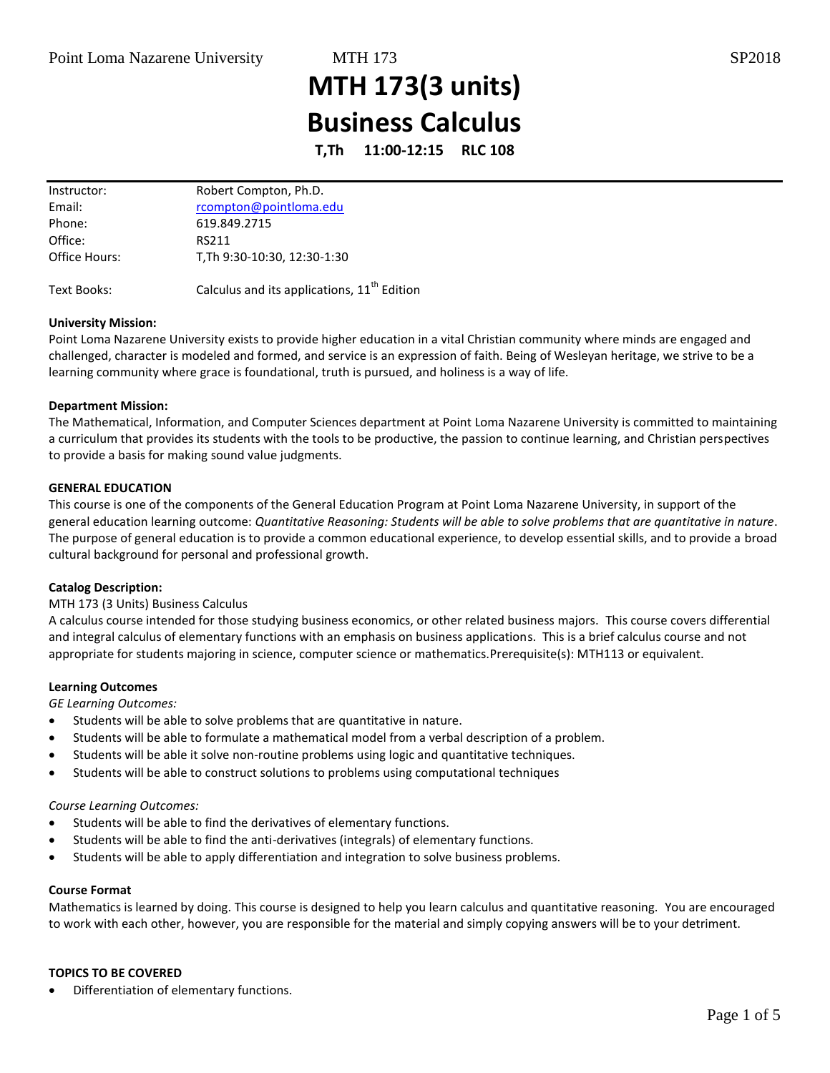# **MTH 173(3 units) Business Calculus**

**T,Th 11:00-12:15 RLC 108**

| Instructor:   | Robert Compton, Ph.D.       |
|---------------|-----------------------------|
| Email:        | rcompton@pointloma.edu      |
| Phone:        | 619.849.2715                |
| Office:       | RS211                       |
| Office Hours: | T.Th 9:30-10:30, 12:30-1:30 |
|               |                             |

Text Books:  $C$ alculus and its applications,  $11<sup>th</sup>$  Edition

# **University Mission:**

Point Loma Nazarene University exists to provide higher education in a vital Christian community where minds are engaged and challenged, character is modeled and formed, and service is an expression of faith. Being of Wesleyan heritage, we strive to be a learning community where grace is foundational, truth is pursued, and holiness is a way of life.

# **Department Mission:**

The Mathematical, Information, and Computer Sciences department at Point Loma Nazarene University is committed to maintaining a curriculum that provides its students with the tools to be productive, the passion to continue learning, and Christian perspectives to provide a basis for making sound value judgments.

# **GENERAL EDUCATION**

This course is one of the components of the General Education Program at Point Loma Nazarene University, in support of the general education learning outcome: *Quantitative Reasoning: Students will be able to solve problems that are quantitative in nature*. The purpose of general education is to provide a common educational experience, to develop essential skills, and to provide a broad cultural background for personal and professional growth.

# **Catalog Description:**

# MTH 173 (3 Units) Business Calculus

A calculus course intended for those studying business economics, or other related business majors. This course covers differential and integral calculus of elementary functions with an emphasis on business applications. This is a brief calculus course and not appropriate for students majoring in science, computer science or mathematics.Prerequisite(s): MTH113 or equivalent.

# **Learning Outcomes**

*GE Learning Outcomes:* 

- Students will be able to solve problems that are quantitative in nature.
- Students will be able to formulate a mathematical model from a verbal description of a problem.
- Students will be able it solve non-routine problems using logic and quantitative techniques.
- Students will be able to construct solutions to problems using computational techniques

# *Course Learning Outcomes:*

- Students will be able to find the derivatives of elementary functions.
- Students will be able to find the anti-derivatives (integrals) of elementary functions.
- Students will be able to apply differentiation and integration to solve business problems.

# **Course Format**

Mathematics is learned by doing. This course is designed to help you learn calculus and quantitative reasoning. You are encouraged to work with each other, however, you are responsible for the material and simply copying answers will be to your detriment.

# **TOPICS TO BE COVERED**

Differentiation of elementary functions.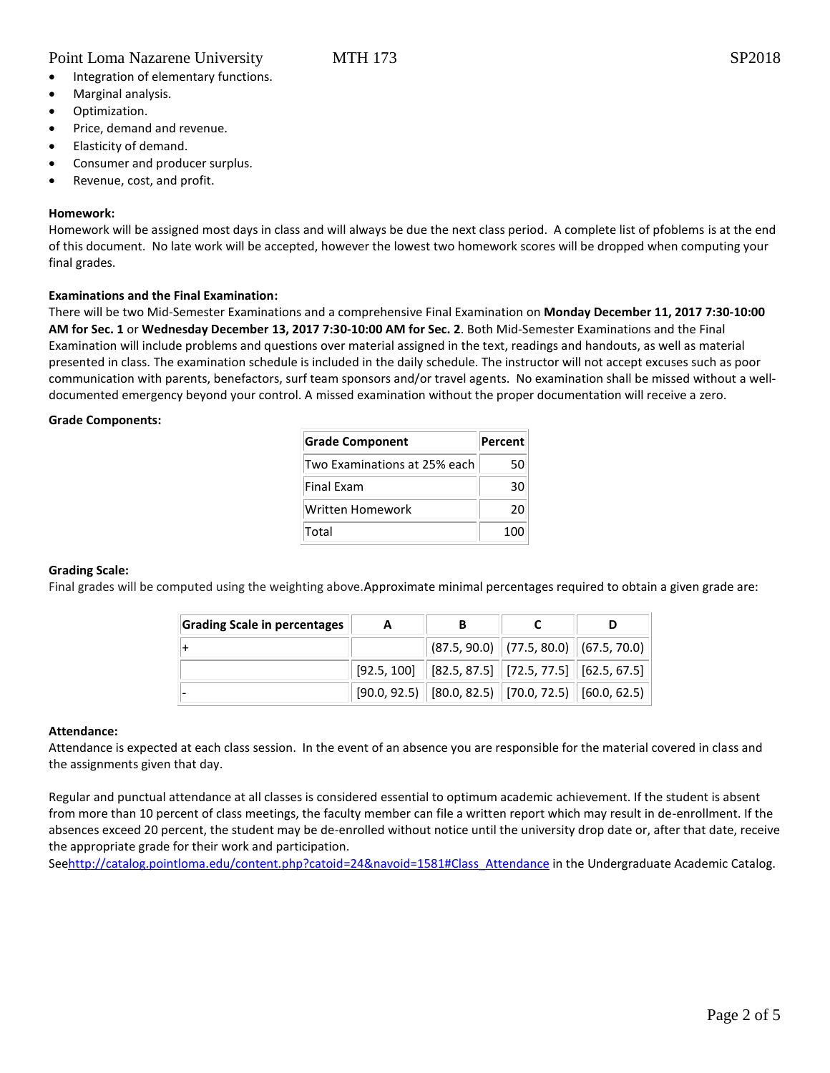- Integration of elementary functions.
- Marginal analysis.
- Optimization.
- Price, demand and revenue.
- Elasticity of demand.
- Consumer and producer surplus.
- Revenue, cost, and profit.

# **Homework:**

Homework will be assigned most days in class and will always be due the next class period. A complete list of pfoblems is at the end of this document. No late work will be accepted, however the lowest two homework scores will be dropped when computing your final grades.

# **Examinations and the Final Examination:**

There will be two Mid-Semester Examinations and a comprehensive Final Examination on **Monday December 11, 2017 7:30-10:00 AM for Sec. 1** or **Wednesday December 13, 2017 7:30-10:00 AM for Sec. 2**. Both Mid-Semester Examinations and the Final Examination will include problems and questions over material assigned in the text, readings and handouts, as well as material presented in class. The examination schedule is included in the daily schedule. The instructor will not accept excuses such as poor communication with parents, benefactors, surf team sponsors and/or travel agents. No examination shall be missed without a welldocumented emergency beyond your control. A missed examination without the proper documentation will receive a zero.

#### **Grade Components:**

| <b>Grade Component</b>       | <b>Percent</b> |  |
|------------------------------|----------------|--|
| Two Examinations at 25% each | 50             |  |
| Final Exam                   | 30             |  |
| Written Homework             | 20             |  |
| Total                        | 100            |  |

# **Grading Scale:**

Final grades will be computed using the weighting above.Approximate minimal percentages required to obtain a given grade are:

| Grading Scale in percentages | A |                                                                                       |  |
|------------------------------|---|---------------------------------------------------------------------------------------|--|
|                              |   | $\vert$ (87.5, 90.0) $\vert$ (77.5, 80.0) $\vert$ (67.5, 70.0) $\vert$                |  |
|                              |   | $\mid$ [92.5, 100] $\mid$ [82.5, 87.5] $\mid$ [72.5, 77.5] $\mid$ [62.5, 67.5] $\mid$ |  |
|                              |   | $[90.0, 92.5]$ $[80.0, 82.5]$ $[70.0, 72.5]$ $[60.0, 62.5]$                           |  |

#### **Attendance:**

Attendance is expected at each class session. In the event of an absence you are responsible for the material covered in class and the assignments given that day.

Regular and punctual attendance at all classes is considered essential to optimum academic achievement. If the student is absent from more than 10 percent of class meetings, the faculty member can file a written report which may result in de-enrollment. If the absences exceed 20 percent, the student may be de-enrolled without notice until the university drop date or, after that date, receive the appropriate grade for their work and participation.

Se[ehttp://catalog.pointloma.edu/content.php?catoid=24&navoid=1581#Class\\_Attendance](http://catalog.pointloma.edu/content.php?catoid=24&navoid=1581#Class_Attendance) in the Undergraduate Academic Catalog.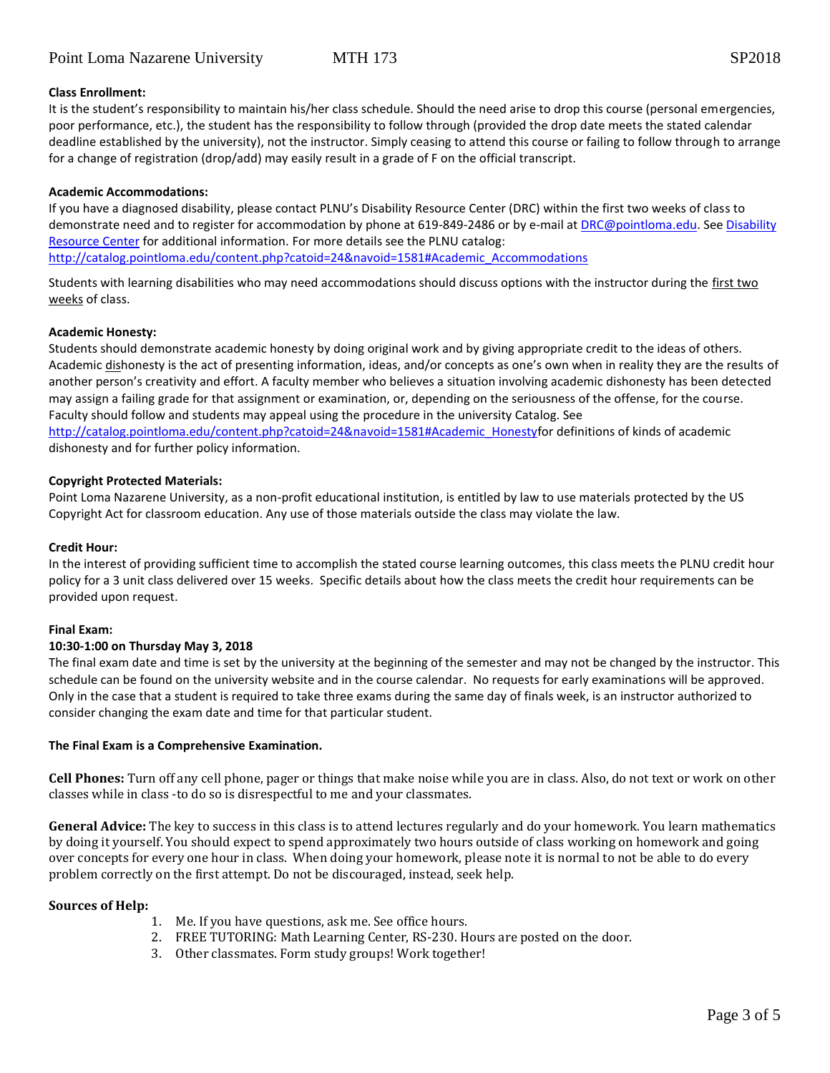# **Class Enrollment:**

It is the student's responsibility to maintain his/her class schedule. Should the need arise to drop this course (personal emergencies, poor performance, etc.), the student has the responsibility to follow through (provided the drop date meets the stated calendar deadline established by the university), not the instructor. Simply ceasing to attend this course or failing to follow through to arrange for a change of registration (drop/add) may easily result in a grade of F on the official transcript.

## **Academic Accommodations:**

If you have a diagnosed disability, please contact PLNU's Disability Resource Center (DRC) within the first two weeks of class to demonstrate need and to register for accommodation by phone at 619-849-2486 or by e-mail a[t DRC@pointloma.edu.](mailto:DRC@pointloma.edu) See [Disability](http://www.pointloma.edu/experience/offices/administrative-offices/academic-advising-office/disability-resource-center)  [Resource Center](http://www.pointloma.edu/experience/offices/administrative-offices/academic-advising-office/disability-resource-center) for additional information. For more details see the PLNU catalog:

[http://catalog.pointloma.edu/content.php?catoid=24&navoid=1581#Academic\\_Accommodations](http://catalog.pointloma.edu/content.php?catoid=24&navoid=1581#Academic_Accommodations)

Students with learning disabilities who may need accommodations should discuss options with the instructor during the first two weeks of class.

# **Academic Honesty:**

Students should demonstrate academic honesty by doing original work and by giving appropriate credit to the ideas of others. Academic dishonesty is the act of presenting information, ideas, and/or concepts as one's own when in reality they are the results of another person's creativity and effort. A faculty member who believes a situation involving academic dishonesty has been detected may assign a failing grade for that assignment or examination, or, depending on the seriousness of the offense, for the course. Faculty should follow and students may appeal using the procedure in the university Catalog. See [http://catalog.pointloma.edu/content.php?catoid=24&navoid=1581#Academic\\_Honestyf](http://catalog.pointloma.edu/content.php?catoid=24&navoid=1581#Academic_Honesty)or definitions of kinds of academic dishonesty and for further policy information.

### **Copyright Protected Materials:**

Point Loma Nazarene University, as a non-profit educational institution, is entitled by law to use materials protected by the US Copyright Act for classroom education. Any use of those materials outside the class may violate the law.

# **Credit Hour:**

In the interest of providing sufficient time to accomplish the stated course learning outcomes, this class meets the PLNU credit hour policy for a 3 unit class delivered over 15 weeks. Specific details about how the class meets the credit hour requirements can be provided upon request.

# **Final Exam:**

# **10:30-1:00 on Thursday May 3, 2018**

The final exam date and time is set by the university at the beginning of the semester and may not be changed by the instructor. This schedule can be found on the university website and in the course calendar. No requests for early examinations will be approved. Only in the case that a student is required to take three exams during the same day of finals week, is an instructor authorized to consider changing the exam date and time for that particular student.

#### **The Final Exam is a Comprehensive Examination.**

**Cell Phones:** Turn off any cell phone, pager or things that make noise while you are in class. Also, do not text or work on other classes while in class -to do so is disrespectful to me and your classmates.

**General Advice:** The key to success in this class is to attend lectures regularly and do your homework. You learn mathematics by doing it yourself. You should expect to spend approximately two hours outside of class working on homework and going over concepts for every one hour in class. When doing your homework, please note it is normal to not be able to do every problem correctly on the first attempt. Do not be discouraged, instead, seek help.

# **Sources of Help:**

- 1. Me. If you have questions, ask me. See office hours.
- 2. FREE TUTORING: Math Learning Center, RS-230. Hours are posted on the door.
- 3. Other classmates. Form study groups! Work together!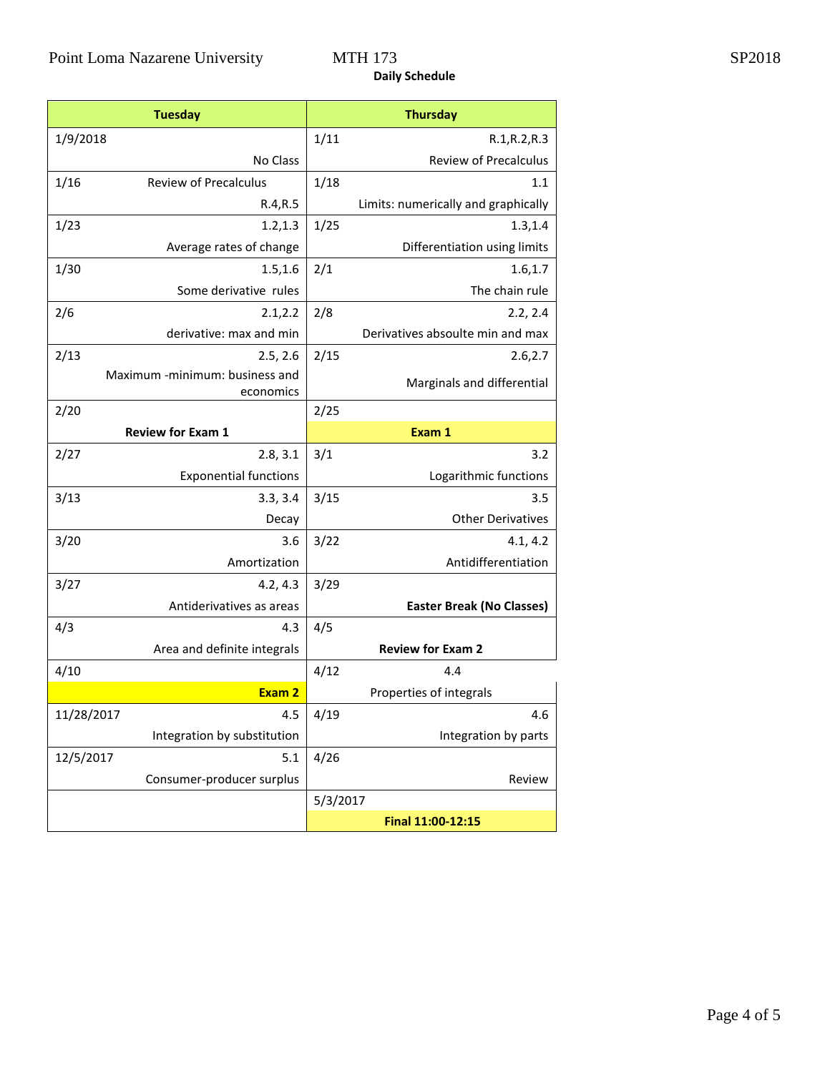# **Daily Schedule**

| <b>Tuesday</b> |                                             |          | <b>Thursday</b>                     |  |  |
|----------------|---------------------------------------------|----------|-------------------------------------|--|--|
| 1/9/2018       |                                             | 1/11     | R.1, R.2, R.3                       |  |  |
|                | No Class                                    |          | <b>Review of Precalculus</b>        |  |  |
| 1/16           | <b>Review of Precalculus</b>                | 1/18     | 1.1                                 |  |  |
|                | R.4, R.5                                    |          | Limits: numerically and graphically |  |  |
| 1/23           | 1.2, 1.3                                    | 1/25     | 1.3, 1.4                            |  |  |
|                | Average rates of change                     |          | Differentiation using limits        |  |  |
| 1/30           | 1.5, 1.6                                    | 2/1      | 1.6, 1.7                            |  |  |
|                | Some derivative rules                       |          | The chain rule                      |  |  |
| 2/6            | 2.1, 2.2                                    | 2/8      | 2.2, 2.4                            |  |  |
|                | derivative: max and min                     |          | Derivatives absoulte min and max    |  |  |
| 2/13           | 2.5, 2.6                                    | 2/15     | 2.6, 2.7                            |  |  |
|                | Maximum -minimum: business and<br>economics |          | Marginals and differential          |  |  |
| 2/20           |                                             | 2/25     |                                     |  |  |
|                | <b>Review for Exam 1</b>                    |          | Exam 1                              |  |  |
| 2/27           | 2.8, 3.1                                    | 3/1      | 3.2                                 |  |  |
|                | <b>Exponential functions</b>                |          | Logarithmic functions               |  |  |
| 3/13           | 3.3, 3.4                                    | 3/15     | 3.5                                 |  |  |
|                | Decay                                       |          | <b>Other Derivatives</b>            |  |  |
| 3/20           | 3.6                                         | 3/22     | 4.1, 4.2                            |  |  |
|                | Amortization                                |          | Antidifferentiation                 |  |  |
| 3/27           | 4.2, 4.3                                    | 3/29     |                                     |  |  |
|                | Antiderivatives as areas                    |          | <b>Easter Break (No Classes)</b>    |  |  |
| 4/3            | 4.3                                         | 4/5      |                                     |  |  |
|                | Area and definite integrals                 |          | <b>Review for Exam 2</b>            |  |  |
| 4/10           |                                             | 4/12     | 4.4                                 |  |  |
|                | Exam 2                                      |          | Properties of integrals             |  |  |
| 11/28/2017     | 4.5                                         | 4/19     | 4.6                                 |  |  |
|                | Integration by substitution                 |          | Integration by parts                |  |  |
| 12/5/2017      | 5.1                                         | 4/26     |                                     |  |  |
|                | Consumer-producer surplus                   |          | Review                              |  |  |
|                |                                             | 5/3/2017 |                                     |  |  |
|                |                                             |          | Final 11:00-12:15                   |  |  |